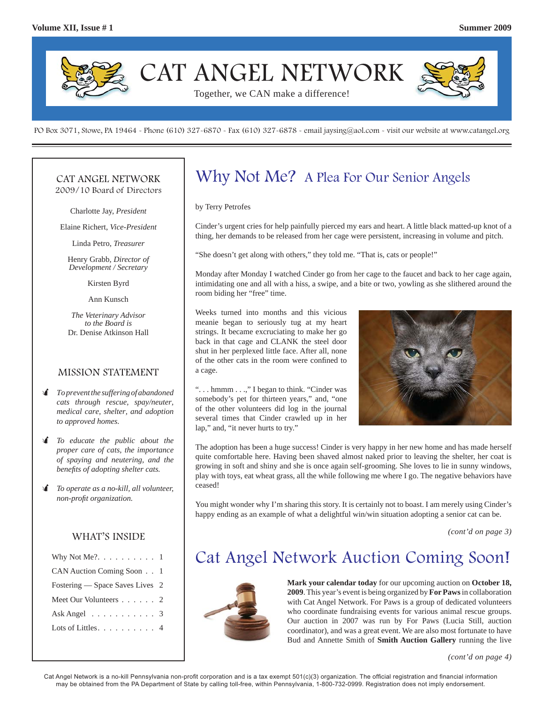

PO Box 3071, Stowe, PA 19464 - Phone (610) 327-6870 - Fax (610) 327-6878 - email jaysing@aol.com - visit our website at www.catangel.org

#### CAT ANGEL NETWORK 2009/10 Board of Directors

Charlotte Jay, *President*

Elaine Richert, *Vice-President*

Linda Petro, *Treasurer*

Henry Grabb, *Director of Development / Secretary*

Kirsten Byrd

Ann Kunsch

*The Veterinary Advisor to the Board is*  Dr. Denise Atkinson Hall

#### MISSION STATEMENT

- *To prevent the suffering of abandoned cats through rescue, spay/neuter, medical care, shelter, and adoption to approved homes.*
- *To educate the public about the proper care of cats, the importance of spaying and neutering, and the benefi ts of adopting shelter cats.*
- *To operate as a no-kill, all volunteer, non-profi t organization.*

#### WHAT'S INSIDE

| Why Not Me?. $\dots \dots \dots \dots 1$ |  |
|------------------------------------------|--|
| CAN Auction Coming Soon 1                |  |
| Fostering — Space Saves Lives 2          |  |
| Meet Our Volunteers 2                    |  |
| Ask Angel $\ldots \ldots \ldots$ 3       |  |
| Lots of Littles. $\dots$ 4               |  |
|                                          |  |

## Why Not Me? A Plea For Our Senior Angels

by Terry Petrofes

Cinder's urgent cries for help painfully pierced my ears and heart. A little black matted-up knot of a thing, her demands to be released from her cage were persistent, increasing in volume and pitch.

"She doesn't get along with others," they told me. "That is, cats or people!"

Monday after Monday I watched Cinder go from her cage to the faucet and back to her cage again, intimidating one and all with a hiss, a swipe, and a bite or two, yowling as she slithered around the room biding her "free" time.

Weeks turned into months and this vicious meanie began to seriously tug at my heart strings. It became excruciating to make her go back in that cage and CLANK the steel door shut in her perplexed little face. After all, none of the other cats in the room were confined to a cage.

". . . hmmm . . .," I began to think. "Cinder was somebody's pet for thirteen years," and, "one of the other volunteers did log in the journal several times that Cinder crawled up in her lap," and, "it never hurts to try."



The adoption has been a huge success! Cinder is very happy in her new home and has made herself quite comfortable here. Having been shaved almost naked prior to leaving the shelter, her coat is growing in soft and shiny and she is once again self-grooming. She loves to lie in sunny windows, play with toys, eat wheat grass, all the while following me where I go. The negative behaviors have ceased!

You might wonder why I'm sharing this story. It is certainly not to boast. I am merely using Cinder's happy ending as an example of what a delightful win/win situation adopting a senior cat can be.

*(cont'd on page 3)*

### Cat Angel Network Auction Coming Soon!



**Mark your calendar today** for our upcoming auction on **October 18, 2009**. This year's event is being organized by **For Paws** in collaboration with Cat Angel Network. For Paws is a group of dedicated volunteers who coordinate fundraising events for various animal rescue groups. Our auction in 2007 was run by For Paws (Lucia Still, auction coordinator), and was a great event. We are also most fortunate to have Bud and Annette Smith of **Smith Auction Gallery** running the live

*(cont'd on page 4)*

Cat Angel Network is a no-kill Pennsylvania non-profit corporation and is a tax exempt 501(c)(3) organization. The official registration and financial information may be obtained from the PA Department of State by calling toll-free, within Pennsylvania, 1-800-732-0999. Registration does not imply endorsement.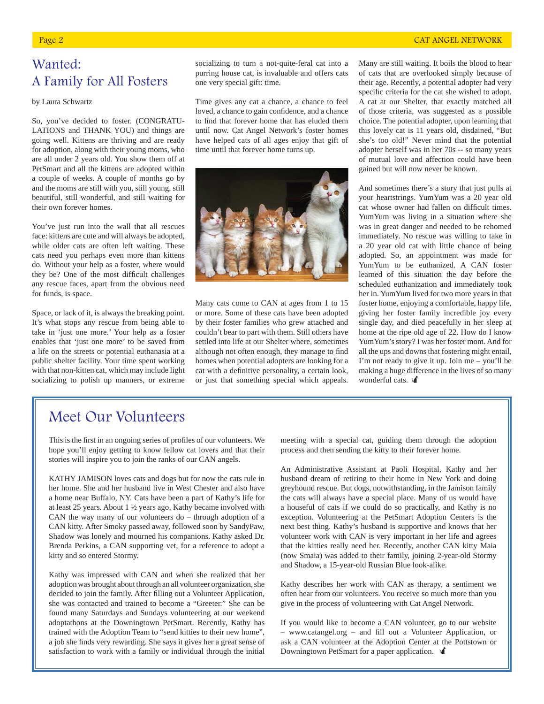#### Page 2 CAT ANGEL NETWORK

# Wanted:

# A Family for All Fosters

by Laura Schwartz

So, you've decided to foster. (CONGRATU-LATIONS and THANK YOU) and things are going well. Kittens are thriving and are ready for adoption, along with their young moms, who are all under 2 years old. You show them off at PetSmart and all the kittens are adopted within a couple of weeks. A couple of months go by and the moms are still with you, still young, still beautiful, still wonderful, and still waiting for their own forever homes.

You've just run into the wall that all rescues face: kittens are cute and will always be adopted, while older cats are often left waiting. These cats need you perhaps even more than kittens do. Without your help as a foster, where would they be? One of the most difficult challenges any rescue faces, apart from the obvious need for funds, is space.

Space, or lack of it, is always the breaking point. It's what stops any rescue from being able to take in 'just one more.' Your help as a foster enables that 'just one more' to be saved from a life on the streets or potential euthanasia at a public shelter facility. Your time spent working with that non-kitten cat, which may include light socializing to polish up manners, or extreme

socializing to turn a not-quite-feral cat into a purring house cat, is invaluable and offers cats one very special gift: time.

Time gives any cat a chance, a chance to feel loved, a chance to gain confidence, and a chance to find that forever home that has eluded them until now. Cat Angel Network's foster homes have helped cats of all ages enjoy that gift of time until that forever home turns up.

Many cats come to CAN at ages from 1 to 15 or more. Some of these cats have been adopted by their foster families who grew attached and couldn't bear to part with them. Still others have settled into life at our Shelter where, sometimes although not often enough, they manage to find homes when potential adopters are looking for a cat with a definitive personality, a certain look, or just that something special which appeals.

Many are still waiting. It boils the blood to hear of cats that are overlooked simply because of their age. Recently, a potential adopter had very specific criteria for the cat she wished to adopt. A cat at our Shelter, that exactly matched all of those criteria, was suggested as a possible choice. The potential adopter, upon learning that this lovely cat is 11 years old, disdained, "But she's too old!" Never mind that the potential adopter herself was in her 70s -- so many years of mutual love and affection could have been gained but will now never be known.

And sometimes there's a story that just pulls at your heartstrings. YumYum was a 20 year old cat whose owner had fallen on difficult times. YumYum was living in a situation where she was in great danger and needed to be rehomed immediately. No rescue was willing to take in a 20 year old cat with little chance of being adopted. So, an appointment was made for YumYum to be euthanized. A CAN foster learned of this situation the day before the scheduled euthanization and immediately took her in. YumYum lived for two more years in that foster home, enjoying a comfortable, happy life, giving her foster family incredible joy every single day, and died peacefully in her sleep at home at the ripe old age of 22. How do I know YumYum's story? I was her foster mom. And for all the ups and downs that fostering might entail, I'm not ready to give it up. Join me – you'll be making a huge difference in the lives of so many wonderful cats.

### Meet Our Volunteers

This is the first in an ongoing series of profiles of our volunteers. We hope you'll enjoy getting to know fellow cat lovers and that their stories will inspire you to join the ranks of our CAN angels.

KATHY JAMISON loves cats and dogs but for now the cats rule in her home. She and her husband live in West Chester and also have a home near Buffalo, NY. Cats have been a part of Kathy's life for at least 25 years. About 1 ½ years ago, Kathy became involved with CAN the way many of our volunteers do – through adoption of a CAN kitty. After Smoky passed away, followed soon by SandyPaw, Shadow was lonely and mourned his companions. Kathy asked Dr. Brenda Perkins, a CAN supporting vet, for a reference to adopt a kitty and so entered Stormy.

Kathy was impressed with CAN and when she realized that her adoption was brought about through an all volunteer organization, she decided to join the family. After filling out a Volunteer Application, she was contacted and trained to become a "Greeter." She can be found many Saturdays and Sundays volunteering at our weekend adoptathons at the Downingtown PetSmart. Recently, Kathy has trained with the Adoption Team to "send kitties to their new home", a job she finds very rewarding. She says it gives her a great sense of satisfaction to work with a family or individual through the initial

meeting with a special cat, guiding them through the adoption process and then sending the kitty to their forever home.

An Administrative Assistant at Paoli Hospital, Kathy and her husband dream of retiring to their home in New York and doing greyhound rescue. But dogs, notwithstanding, in the Jamison family the cats will always have a special place. Many of us would have a houseful of cats if we could do so practically, and Kathy is no exception. Volunteering at the PetSmart Adoption Centers is the next best thing. Kathy's husband is supportive and knows that her volunteer work with CAN is very important in her life and agrees that the kitties really need her. Recently, another CAN kitty Maia (now Smaia) was added to their family, joining 2-year-old Stormy and Shadow, a 15-year-old Russian Blue look-alike.

Kathy describes her work with CAN as therapy, a sentiment we often hear from our volunteers. You receive so much more than you give in the process of volunteering with Cat Angel Network.

If you would like to become a CAN volunteer, go to our website – www.catangel.org – and fill out a Volunteer Application, or ask a CAN volunteer at the Adoption Center at the Pottstown or Downingtown PetSmart for a paper application.

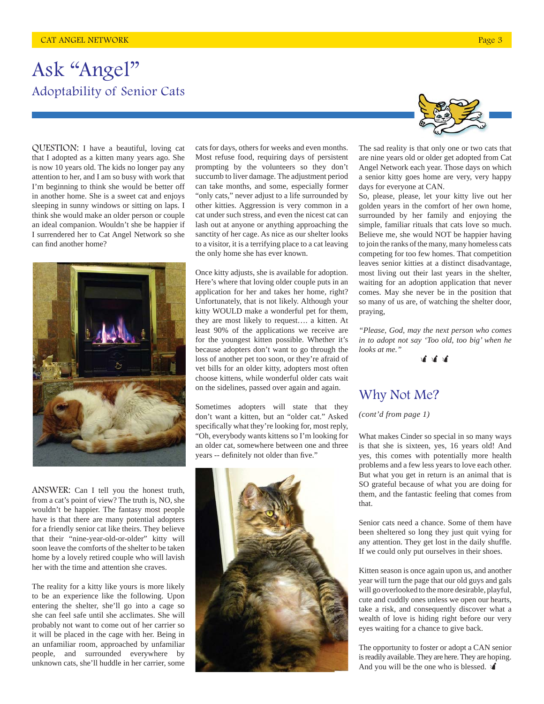# Ask "Angel" Adoptability of Senior Cats

QUESTION: I have a beautiful, loving cat that I adopted as a kitten many years ago. She is now 10 years old. The kids no longer pay any attention to her, and I am so busy with work that I'm beginning to think she would be better off in another home. She is a sweet cat and enjoys sleeping in sunny windows or sitting on laps. I think she would make an older person or couple an ideal companion. Wouldn't she be happier if I surrendered her to Cat Angel Network so she can find another home?



ANSWER: Can I tell you the honest truth, from a cat's point of view? The truth is, NO, she wouldn't be happier. The fantasy most people have is that there are many potential adopters for a friendly senior cat like theirs. They believe that their "nine-year-old-or-older" kitty will soon leave the comforts of the shelter to be taken home by a lovely retired couple who will lavish her with the time and attention she craves.

The reality for a kitty like yours is more likely to be an experience like the following. Upon entering the shelter, she'll go into a cage so she can feel safe until she acclimates. She will probably not want to come out of her carrier so it will be placed in the cage with her. Being in an unfamiliar room, approached by unfamiliar people, and surrounded everywhere by unknown cats, she'll huddle in her carrier, some

cats for days, others for weeks and even months. Most refuse food, requiring days of persistent prompting by the volunteers so they don't succumb to liver damage. The adjustment period can take months, and some, especially former "only cats," never adjust to a life surrounded by other kitties. Aggression is very common in a cat under such stress, and even the nicest cat can lash out at anyone or anything approaching the sanctity of her cage. As nice as our shelter looks to a visitor, it is a terrifying place to a cat leaving the only home she has ever known.

Once kitty adjusts, she is available for adoption. Here's where that loving older couple puts in an application for her and takes her home, right? Unfortunately, that is not likely. Although your kitty WOULD make a wonderful pet for them, they are most likely to request…. a kitten. At least 90% of the applications we receive are for the youngest kitten possible. Whether it's because adopters don't want to go through the loss of another pet too soon, or they're afraid of vet bills for an older kitty, adopters most often choose kittens, while wonderful older cats wait on the sidelines, passed over again and again.

Sometimes adopters will state that they don't want a kitten, but an "older cat." Asked specifically what they're looking for, most reply, "Oh, everybody wants kittens so I'm looking for an older cat, somewhere between one and three years -- definitely not older than five."





The sad reality is that only one or two cats that are nine years old or older get adopted from Cat Angel Network each year. Those days on which a senior kitty goes home are very, very happy days for everyone at CAN.

So, please, please, let your kitty live out her golden years in the comfort of her own home, surrounded by her family and enjoying the simple, familiar rituals that cats love so much. Believe me, she would NOT be happier having to join the ranks of the many, many homeless cats competing for too few homes. That competition leaves senior kitties at a distinct disadvantage, most living out their last years in the shelter, waiting for an adoption application that never comes. May she never be in the position that so many of us are, of watching the shelter door, praying,

*"Please, God, may the next person who comes in to adopt not say 'Too old, too big' when he looks at me."*

道道道

#### Why Not Me?

*(cont'd from page 1)*

What makes Cinder so special in so many ways is that she is sixteen, yes, 16 years old! And yes, this comes with potentially more health problems and a few less years to love each other. But what you get in return is an animal that is SO grateful because of what you are doing for them, and the fantastic feeling that comes from that.

Senior cats need a chance. Some of them have been sheltered so long they just quit vying for any attention. They get lost in the daily shuffle. If we could only put ourselves in their shoes.

Kitten season is once again upon us, and another year will turn the page that our old guys and gals will go overlooked to the more desirable, playful, cute and cuddly ones unless we open our hearts, take a risk, and consequently discover what a wealth of love is hiding right before our very eyes waiting for a chance to give back.

The opportunity to foster or adopt a CAN senior is readily available. They are here. They are hoping. And you will be the one who is blessed.